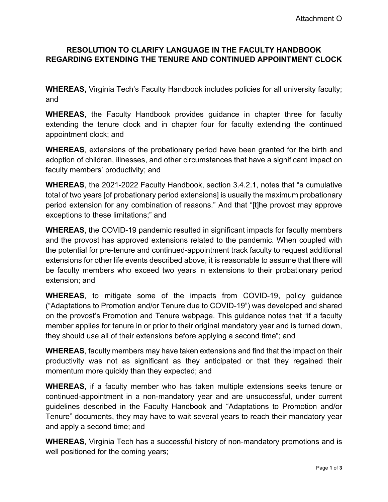## **RESOLUTION TO CLARIFY LANGUAGE IN THE FACULTY HANDBOOK REGARDING EXTENDING THE TENURE AND CONTINUED APPOINTMENT CLOCK**

**WHEREAS,** Virginia Tech's Faculty Handbook includes policies for all university faculty; and

**WHEREAS**, the Faculty Handbook provides guidance in chapter three for faculty extending the tenure clock and in chapter four for faculty extending the continued appointment clock; and

**WHEREAS**, extensions of the probationary period have been granted for the birth and adoption of children, illnesses, and other circumstances that have a significant impact on faculty members' productivity; and

**WHEREAS**, the 2021-2022 Faculty Handbook, section 3.4.2.1, notes that "a cumulative total of two years [of probationary period extensions] is usually the maximum probationary period extension for any combination of reasons." And that "[t]he provost may approve exceptions to these limitations;" and

**WHEREAS**, the COVID-19 pandemic resulted in significant impacts for faculty members and the provost has approved extensions related to the pandemic. When coupled with the potential for pre-tenure and continued-appointment track faculty to request additional extensions for other life events described above, it is reasonable to assume that there will be faculty members who exceed two years in extensions to their probationary period extension; and

**WHEREAS**, to mitigate some of the impacts from COVID-19, policy guidance ("Adaptations to Promotion and/or Tenure due to COVID-19") was developed and shared on the provost's Promotion and Tenure webpage. This guidance notes that "if a faculty member applies for tenure in or prior to their original mandatory year and is turned down, they should use all of their extensions before applying a second time"; and

**WHEREAS**, faculty members may have taken extensions and find that the impact on their productivity was not as significant as they anticipated or that they regained their momentum more quickly than they expected; and

**WHEREAS**, if a faculty member who has taken multiple extensions seeks tenure or continued-appointment in a non-mandatory year and are unsuccessful, under current guidelines described in the Faculty Handbook and "Adaptations to Promotion and/or Tenure" documents, they may have to wait several years to reach their mandatory year and apply a second time; and

**WHEREAS**, Virginia Tech has a successful history of non-mandatory promotions and is well positioned for the coming years;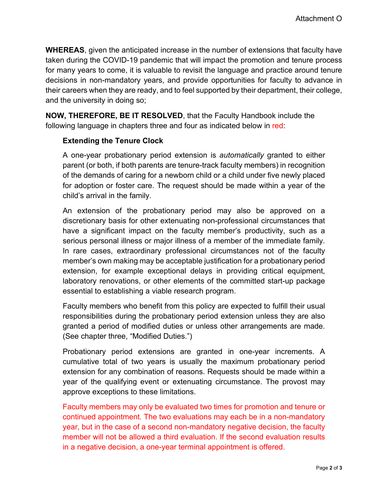**WHEREAS**, given the anticipated increase in the number of extensions that faculty have taken during the COVID-19 pandemic that will impact the promotion and tenure process for many years to come, it is valuable to revisit the language and practice around tenure decisions in non-mandatory years, and provide opportunities for faculty to advance in their careers when they are ready, and to feel supported by their department, their college, and the university in doing so;

**NOW, THEREFORE, BE IT RESOLVED**, that the Faculty Handbook include the following language in chapters three and four as indicated below in red:

## **Extending the Tenure Clock**

A one-year probationary period extension is *automatically* granted to either parent (or both, if both parents are tenure-track faculty members) in recognition of the demands of caring for a newborn child or a child under five newly placed for adoption or foster care. The request should be made within a year of the child's arrival in the family.

An extension of the probationary period may also be approved on a discretionary basis for other extenuating non-professional circumstances that have a significant impact on the faculty member's productivity, such as a serious personal illness or major illness of a member of the immediate family. In rare cases, extraordinary professional circumstances not of the faculty member's own making may be acceptable justification for a probationary period extension, for example exceptional delays in providing critical equipment, laboratory renovations, or other elements of the committed start-up package essential to establishing a viable research program.

Faculty members who benefit from this policy are expected to fulfill their usual responsibilities during the probationary period extension unless they are also granted a period of modified duties or unless other arrangements are made. (See chapter three, "Modified Duties.")

Probationary period extensions are granted in one-year increments. A cumulative total of two years is usually the maximum probationary period extension for any combination of reasons. Requests should be made within a year of the qualifying event or extenuating circumstance. The provost may approve exceptions to these limitations.

Faculty members may only be evaluated two times for promotion and tenure or continued appointment. The two evaluations may each be in a non-mandatory year, but in the case of a second non-mandatory negative decision, the faculty member will not be allowed a third evaluation. If the second evaluation results in a negative decision, a one-year terminal appointment is offered.